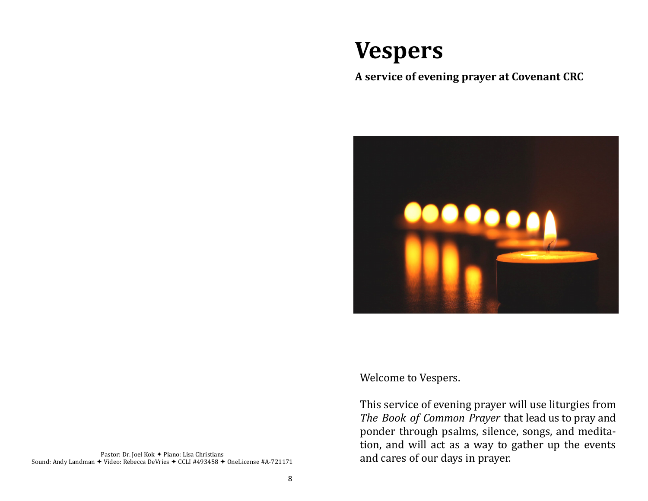# **Vespers**

## **A service of evening prayer at Covenant CRC**



Pastor: Dr. Joel Kok + Piano: Lisa Christians Sound: Andy Landman  $\div$  Video: Rebecca DeVries  $\div$  CCLI #493458  $\div$  OneLicense #A-721171 Welcome to Vespers.

This service of evening prayer will use liturgies from *The Book of Common Prayer* that lead us to pray and ponder through psalms, silence, songs, and meditation, and will act as a way to gather up the events and cares of our days in prayer.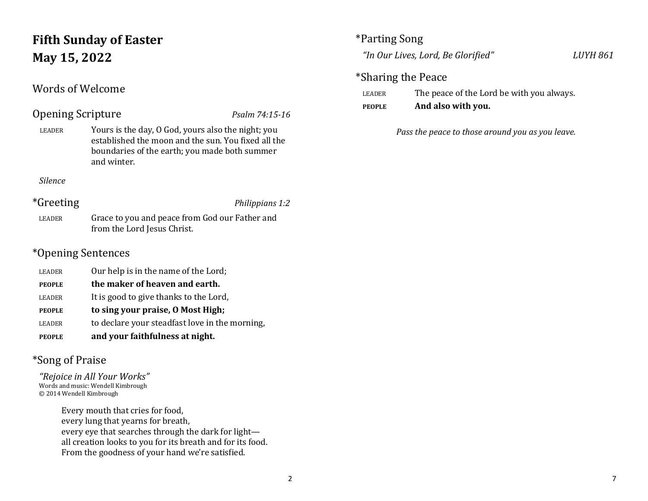## **Fifth Sunday of Easter May 15, 2022**

## Words of Welcome

## Opening Scripture *Psalm 74:15-16*

LEADER Yours is the day, O God, yours also the night; you established the moon and the sun. You fixed all the boundaries of the earth; you made both summer and winter.

*Silence*

## \*Greeting *Philippians 1:2*

LEADER Grace to you and peace from God our Father and from the Lord Jesus Christ.

## \*Opening Sentences

LEADER Our help is in the name of the Lord; **PEOPLE the maker of heaven and earth.** LEADER It is good to give thanks to the Lord, **PEOPLE to sing your praise, O Most High;** LEADER to declare your steadfast love in the morning, **PEOPLE and your faithfulness at night.**

## \*Song of Praise

*"Rejoice in All Your Works"* Words and music: Wendell Kimbrough © 2014 Wendell Kimbrough

> Every mouth that cries for food, every lung that yearns for breath, every eye that searches through the dark for light all creation looks to you for its breath and for its food. From the goodness of your hand we're satisfied.

## \*Parting Song

*"In Our Lives, Lord, Be Glorified" LUYH 861*

## \*Sharing the Peace

| <b>LEADER</b> | The peace of the Lord be with you always. |
|---------------|-------------------------------------------|
|---------------|-------------------------------------------|

**PEOPLE And also with you.**

*Pass the peace to those around you as you leave.*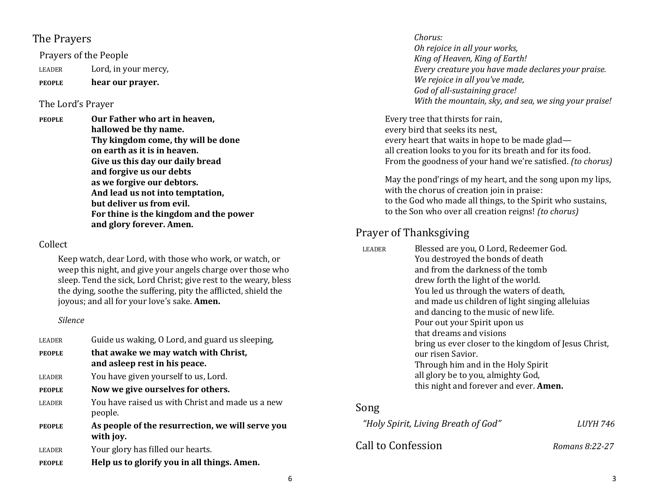#### The Prayers

Prayers of the People

LEADER Lord, in your mercy,

**PEOPLE hear our prayer.**

#### The Lord's Prayer

**PEOPLE Our Father who art in heaven, hallowed be thy name. Thy kingdom come, thy will be done on earth as it is in heaven. Give us this day our daily bread and forgive us our debts as we forgive our debtors. And lead us not into temptation, but deliver us from evil. For thine is the kingdom and the power and glory forever. Amen.**

#### Collect

Keep watch, dear Lord, with those who work, or watch, or weep this night, and give your angels charge over those who sleep. Tend the sick, Lord Christ; give rest to the weary, bless the dying, soothe the suffering, pity the afflicted, shield the joyous; and all for your love's sake. **Amen.**

#### *Silence*

| <b>LEADER</b> | Guide us waking, O Lord, and guard us sleeping,                        |
|---------------|------------------------------------------------------------------------|
| <b>PEOPLE</b> | that awake we may watch with Christ,<br>and as leep rest in his peace. |
| <b>LEADER</b> | You have given yourself to us, Lord.                                   |
| <b>PEOPLE</b> | Now we give ourselves for others.                                      |
| <b>LEADER</b> | You have raised us with Christ and made us a new<br>people.            |
| <b>PEOPLE</b> | As people of the resurrection, we will serve you<br>with joy.          |
| <b>LEADER</b> | Your glory has filled our hearts.                                      |
| <b>PEOPLE</b> | Help us to glorify you in all things. Amen.                            |

#### *Chorus: Oh rejoice in all your works, King of Heaven, King of Earth! Every creature you have made declares your praise. We rejoice in all you've made, God of all-sustaining grace! With the mountain, sky, and sea, we sing your praise!*

Every tree that thirsts for rain, every bird that seeks its nest, every heart that waits in hope to be made glad all creation looks to you for its breath and for its food. From the goodness of your hand we're satisfied. *(to chorus)*

May the pond'rings of my heart, and the song upon my lips, with the chorus of creation join in praise: to the God who made all things, to the Spirit who sustains, to the Son who over all creation reigns! *(to chorus)*

## Prayer of Thanksgiving

| <b>LEADER</b> | Blessed are you, O Lord, Redeemer God.<br>You destroyed the bonds of death<br>and from the darkness of the tomb<br>drew forth the light of the world.<br>You led us through the waters of death,<br>and made us children of light singing alleluias<br>and dancing to the music of new life.<br>Pour out your Spirit upon us<br>that dreams and visions<br>bring us ever closer to the kingdom of Jesus Christ,<br>our risen Savior.<br>Through him and in the Holy Spirit |
|---------------|----------------------------------------------------------------------------------------------------------------------------------------------------------------------------------------------------------------------------------------------------------------------------------------------------------------------------------------------------------------------------------------------------------------------------------------------------------------------------|
|               | all glory be to you, almighty God,<br>this night and forever and ever. Amen.                                                                                                                                                                                                                                                                                                                                                                                               |

## Song

| "Holy Spirit, Living Breath of God" | <b>LUYH 746</b> |
|-------------------------------------|-----------------|
| Call to Confession                  | Romans 8:22-27  |